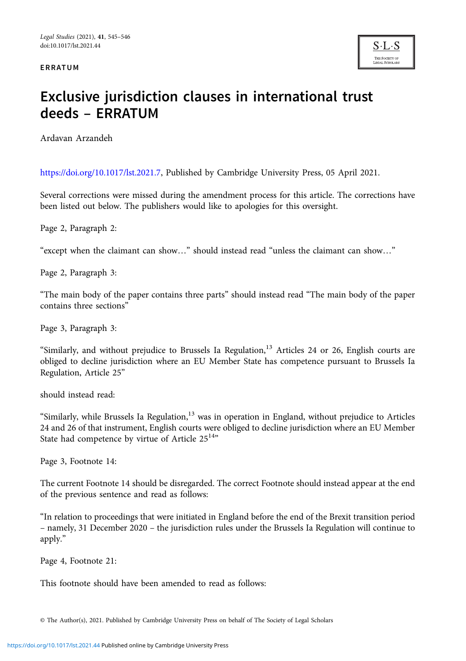ERRATUM



## Exclusive jurisdiction clauses in international trust deeds – ERRATUM

Ardavan Arzandeh

<https://doi.org/10.1017/lst.2021.7>, Published by Cambridge University Press, 05 April 2021.

Several corrections were missed during the amendment process for this article. The corrections have been listed out below. The publishers would like to apologies for this oversight.

Page 2, Paragraph 2:

"except when the claimant can show…" should instead read "unless the claimant can show…"

Page 2, Paragraph 3:

"The main body of the paper contains three parts" should instead read "The main body of the paper contains three sections"

Page 3, Paragraph 3:

"Similarly, and without prejudice to Brussels Ia Regulation,<sup>13</sup> Articles 24 or 26, English courts are obliged to decline jurisdiction where an EU Member State has competence pursuant to Brussels Ia Regulation, Article 25"

should instead read:

"Similarly, while Brussels Ia Regulation,<sup>13</sup> was in operation in England, without prejudice to Articles 24 and 26 of that instrument, English courts were obliged to decline jurisdiction where an EU Member State had competence by virtue of Article  $25^{14}$ "

Page 3, Footnote 14:

The current Footnote 14 should be disregarded. The correct Footnote should instead appear at the end of the previous sentence and read as follows:

"In relation to proceedings that were initiated in England before the end of the Brexit transition period – namely, 31 December 2020 – the jurisdiction rules under the Brussels Ia Regulation will continue to apply."

Page 4, Footnote 21:

This footnote should have been amended to read as follows:

<sup>©</sup> The Author(s), 2021. Published by Cambridge University Press on behalf of The Society of Legal Scholars